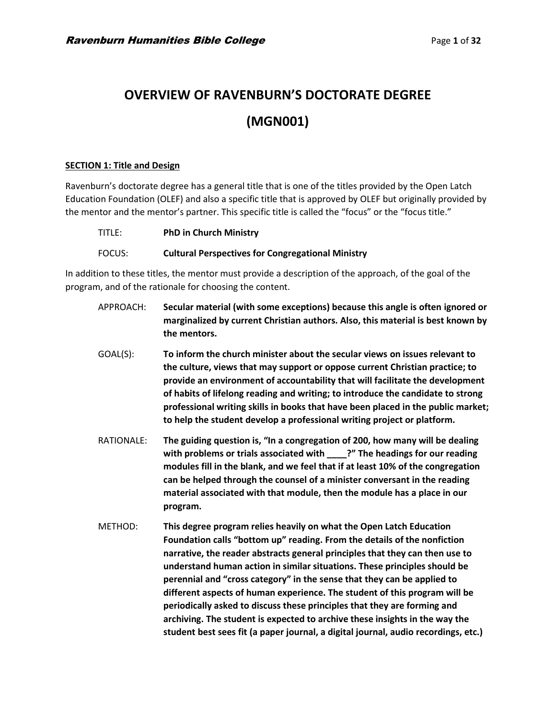# **OVERVIEW OF RAVENBURN'S DOCTORATE DEGREE (MGN001)**

#### **SECTION 1: Title and Design**

Ravenburn's doctorate degree has a general title that is one of the titles provided by the Open Latch Education Foundation (OLEF) and also a specific title that is approved by OLEF but originally provided by the mentor and the mentor's partner. This specific title is called the "focus" or the "focus title."

| TITLE: | <b>PhD in Church Ministry</b>                            |
|--------|----------------------------------------------------------|
| FOCUS: | <b>Cultural Perspectives for Congregational Ministry</b> |

In addition to these titles, the mentor must provide a description of the approach, of the goal of the program, and of the rationale for choosing the content.

- APPROACH: **Secular material (with some exceptions) because this angle is often ignored or marginalized by current Christian authors. Also, this material is best known by the mentors.**
- GOAL(S): **To inform the church minister about the secular views on issues relevant to the culture, views that may support or oppose current Christian practice; to provide an environment of accountability that will facilitate the development of habits of lifelong reading and writing; to introduce the candidate to strong professional writing skills in books that have been placed in the public market; to help the student develop a professional writing project or platform.**
- RATIONALE: **The guiding question is, "In a congregation of 200, how many will be dealing with problems or trials associated with \_\_\_\_?" The headings for our reading modules fill in the blank, and we feel that if at least 10% of the congregation can be helped through the counsel of a minister conversant in the reading material associated with that module, then the module has a place in our program.**
- METHOD: **This degree program relies heavily on what the Open Latch Education Foundation calls "bottom up" reading. From the details of the nonfiction narrative, the reader abstracts general principles that they can then use to understand human action in similar situations. These principles should be perennial and "cross category" in the sense that they can be applied to different aspects of human experience. The student of this program will be periodically asked to discuss these principles that they are forming and archiving. The student is expected to archive these insights in the way the student best sees fit (a paper journal, a digital journal, audio recordings, etc.)**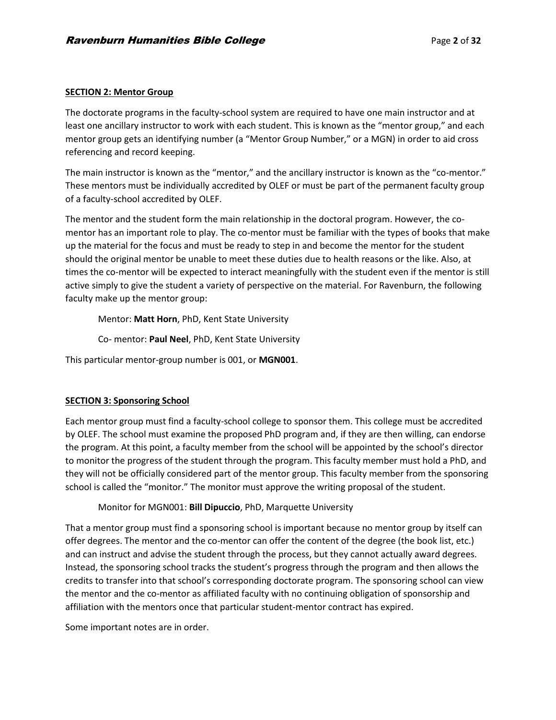## **SECTION 2: Mentor Group**

The doctorate programs in the faculty-school system are required to have one main instructor and at least one ancillary instructor to work with each student. This is known as the "mentor group," and each mentor group gets an identifying number (a "Mentor Group Number," or a MGN) in order to aid cross referencing and record keeping.

The main instructor is known as the "mentor," and the ancillary instructor is known as the "co-mentor." These mentors must be individually accredited by OLEF or must be part of the permanent faculty group of a faculty-school accredited by OLEF.

The mentor and the student form the main relationship in the doctoral program. However, the comentor has an important role to play. The co-mentor must be familiar with the types of books that make up the material for the focus and must be ready to step in and become the mentor for the student should the original mentor be unable to meet these duties due to health reasons or the like. Also, at times the co-mentor will be expected to interact meaningfully with the student even if the mentor is still active simply to give the student a variety of perspective on the material. For Ravenburn, the following faculty make up the mentor group:

Mentor: **Matt Horn**, PhD, Kent State University

Co- mentor: **Paul Neel**, PhD, Kent State University

This particular mentor-group number is 001, or **MGN001**.

# **SECTION 3: Sponsoring School**

Each mentor group must find a faculty-school college to sponsor them. This college must be accredited by OLEF. The school must examine the proposed PhD program and, if they are then willing, can endorse the program. At this point, a faculty member from the school will be appointed by the school's director to monitor the progress of the student through the program. This faculty member must hold a PhD, and they will not be officially considered part of the mentor group. This faculty member from the sponsoring school is called the "monitor." The monitor must approve the writing proposal of the student.

Monitor for MGN001: **Bill Dipuccio**, PhD, Marquette University

That a mentor group must find a sponsoring school is important because no mentor group by itself can offer degrees. The mentor and the co-mentor can offer the content of the degree (the book list, etc.) and can instruct and advise the student through the process, but they cannot actually award degrees. Instead, the sponsoring school tracks the student's progress through the program and then allows the credits to transfer into that school's corresponding doctorate program. The sponsoring school can view the mentor and the co-mentor as affiliated faculty with no continuing obligation of sponsorship and affiliation with the mentors once that particular student-mentor contract has expired.

Some important notes are in order.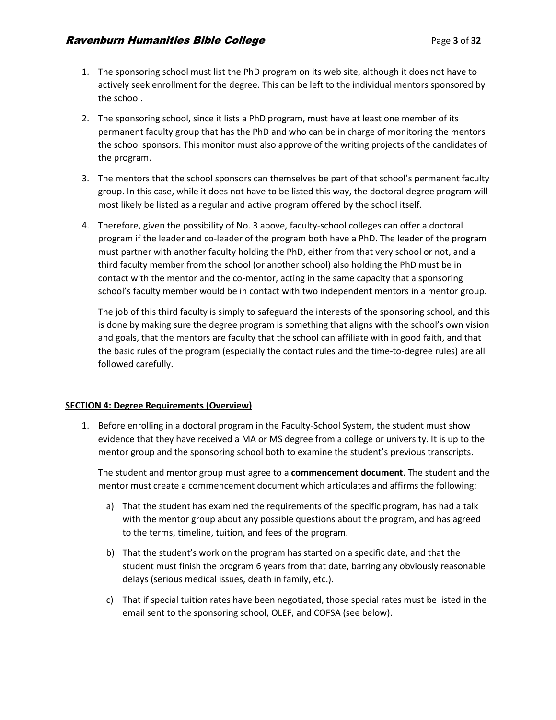- 1. The sponsoring school must list the PhD program on its web site, although it does not have to actively seek enrollment for the degree. This can be left to the individual mentors sponsored by the school.
- 2. The sponsoring school, since it lists a PhD program, must have at least one member of its permanent faculty group that has the PhD and who can be in charge of monitoring the mentors the school sponsors. This monitor must also approve of the writing projects of the candidates of the program.
- 3. The mentors that the school sponsors can themselves be part of that school's permanent faculty group. In this case, while it does not have to be listed this way, the doctoral degree program will most likely be listed as a regular and active program offered by the school itself.
- 4. Therefore, given the possibility of No. 3 above, faculty-school colleges can offer a doctoral program if the leader and co-leader of the program both have a PhD. The leader of the program must partner with another faculty holding the PhD, either from that very school or not, and a third faculty member from the school (or another school) also holding the PhD must be in contact with the mentor and the co-mentor, acting in the same capacity that a sponsoring school's faculty member would be in contact with two independent mentors in a mentor group.

The job of this third faculty is simply to safeguard the interests of the sponsoring school, and this is done by making sure the degree program is something that aligns with the school's own vision and goals, that the mentors are faculty that the school can affiliate with in good faith, and that the basic rules of the program (especially the contact rules and the time-to-degree rules) are all followed carefully.

## **SECTION 4: Degree Requirements (Overview)**

1. Before enrolling in a doctoral program in the Faculty-School System, the student must show evidence that they have received a MA or MS degree from a college or university. It is up to the mentor group and the sponsoring school both to examine the student's previous transcripts.

The student and mentor group must agree to a **commencement document**. The student and the mentor must create a commencement document which articulates and affirms the following:

- a) That the student has examined the requirements of the specific program, has had a talk with the mentor group about any possible questions about the program, and has agreed to the terms, timeline, tuition, and fees of the program.
- b) That the student's work on the program has started on a specific date, and that the student must finish the program 6 years from that date, barring any obviously reasonable delays (serious medical issues, death in family, etc.).
- c) That if special tuition rates have been negotiated, those special rates must be listed in the email sent to the sponsoring school, OLEF, and COFSA (see below).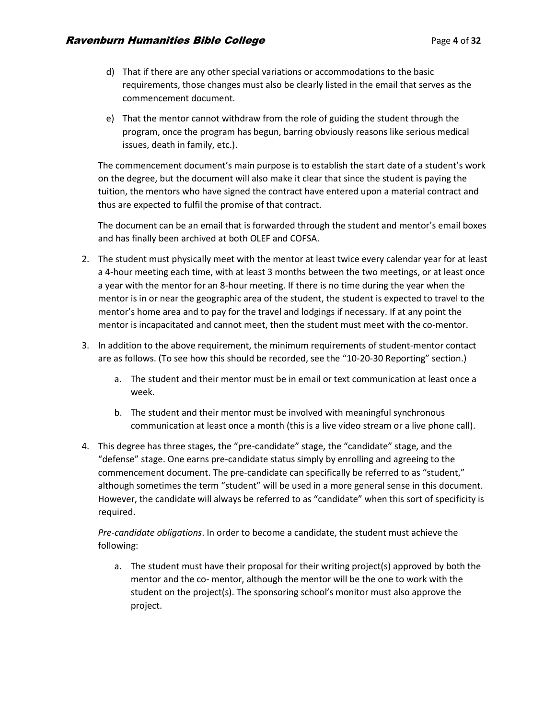- d) That if there are any other special variations or accommodations to the basic requirements, those changes must also be clearly listed in the email that serves as the commencement document.
- e) That the mentor cannot withdraw from the role of guiding the student through the program, once the program has begun, barring obviously reasons like serious medical issues, death in family, etc.).

The commencement document's main purpose is to establish the start date of a student's work on the degree, but the document will also make it clear that since the student is paying the tuition, the mentors who have signed the contract have entered upon a material contract and thus are expected to fulfil the promise of that contract.

The document can be an email that is forwarded through the student and mentor's email boxes and has finally been archived at both OLEF and COFSA.

- 2. The student must physically meet with the mentor at least twice every calendar year for at least a 4-hour meeting each time, with at least 3 months between the two meetings, or at least once a year with the mentor for an 8-hour meeting. If there is no time during the year when the mentor is in or near the geographic area of the student, the student is expected to travel to the mentor's home area and to pay for the travel and lodgings if necessary. If at any point the mentor is incapacitated and cannot meet, then the student must meet with the co-mentor.
- 3. In addition to the above requirement, the minimum requirements of student-mentor contact are as follows. (To see how this should be recorded, see the "10-20-30 Reporting" section.)
	- a. The student and their mentor must be in email or text communication at least once a week.
	- b. The student and their mentor must be involved with meaningful synchronous communication at least once a month (this is a live video stream or a live phone call).
- 4. This degree has three stages, the "pre-candidate" stage, the "candidate" stage, and the "defense" stage. One earns pre-candidate status simply by enrolling and agreeing to the commencement document. The pre-candidate can specifically be referred to as "student," although sometimes the term "student" will be used in a more general sense in this document. However, the candidate will always be referred to as "candidate" when this sort of specificity is required.

*Pre-candidate obligations*. In order to become a candidate, the student must achieve the following:

a. The student must have their proposal for their writing project(s) approved by both the mentor and the co- mentor, although the mentor will be the one to work with the student on the project(s). The sponsoring school's monitor must also approve the project.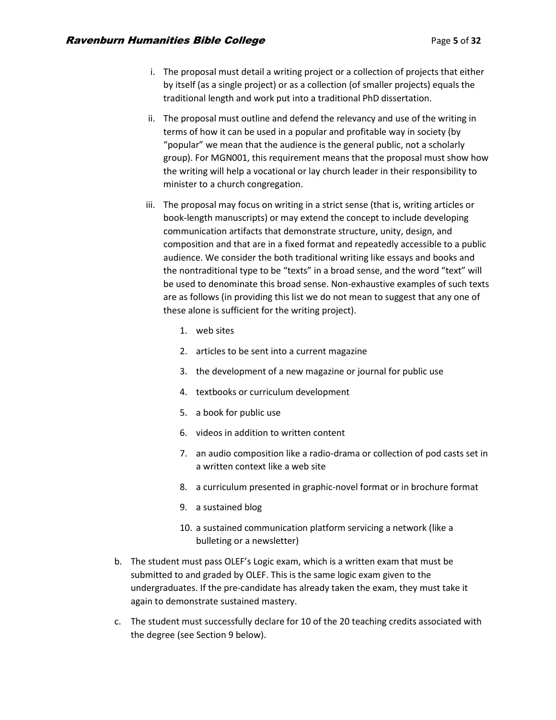- i. The proposal must detail a writing project or a collection of projects that either by itself (as a single project) or as a collection (of smaller projects) equals the traditional length and work put into a traditional PhD dissertation.
- ii. The proposal must outline and defend the relevancy and use of the writing in terms of how it can be used in a popular and profitable way in society (by "popular" we mean that the audience is the general public, not a scholarly group). For MGN001, this requirement means that the proposal must show how the writing will help a vocational or lay church leader in their responsibility to minister to a church congregation.
- iii. The proposal may focus on writing in a strict sense (that is, writing articles or book-length manuscripts) or may extend the concept to include developing communication artifacts that demonstrate structure, unity, design, and composition and that are in a fixed format and repeatedly accessible to a public audience. We consider the both traditional writing like essays and books and the nontraditional type to be "texts" in a broad sense, and the word "text" will be used to denominate this broad sense. Non-exhaustive examples of such texts are as follows (in providing this list we do not mean to suggest that any one of these alone is sufficient for the writing project).
	- 1. web sites
	- 2. articles to be sent into a current magazine
	- 3. the development of a new magazine or journal for public use
	- 4. textbooks or curriculum development
	- 5. a book for public use
	- 6. videos in addition to written content
	- 7. an audio composition like a radio-drama or collection of pod casts set in a written context like a web site
	- 8. a curriculum presented in graphic-novel format or in brochure format
	- 9. a sustained blog
	- 10. a sustained communication platform servicing a network (like a bulleting or a newsletter)
- b. The student must pass OLEF's Logic exam, which is a written exam that must be submitted to and graded by OLEF. This is the same logic exam given to the undergraduates. If the pre-candidate has already taken the exam, they must take it again to demonstrate sustained mastery.
- c. The student must successfully declare for 10 of the 20 teaching credits associated with the degree (see Section 9 below).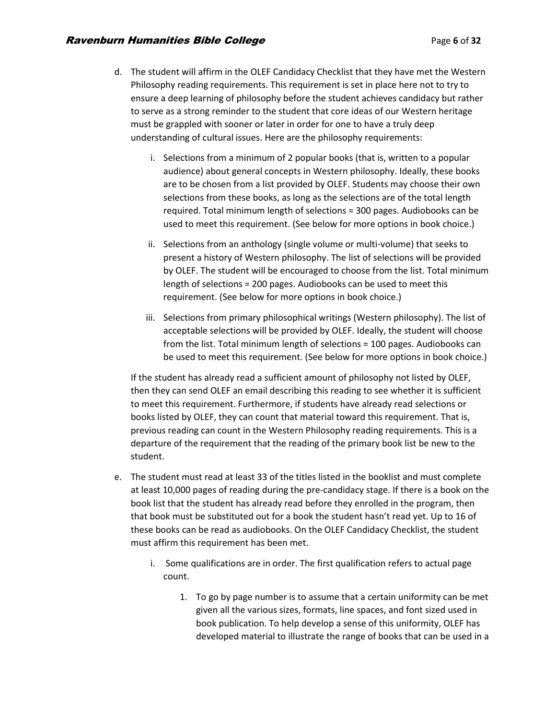- d. The student will affirm in the OLEF Candidacy Checklist that they have met the Western Philosophy reading requirements. This requirement is set in place here not to try to ensure a deep learning of philosophy before the student achieves candidacy but rather to serve as a strong reminder to the student that core ideas of our Western heritage must be grappled with sooner or later in order for one to have a truly deep understanding of cultural issues. Here are the philosophy requirements:
	- i. Selections from a minimum of 2 popular books (that is, written to a popular audience) about general concepts in Western philosophy. Ideally, these books are to be chosen from a list provided by OLEF. Students may choose their own selections from these books, as long as the selections are of the total length required. Total minimum length of selections = 300 pages. Audiobooks can be used to meet this requirement. (See below for more options in book choice.)
	- ii. Selections from an anthology (single volume or multi-volume) that seeks to present a history of Western philosophy. The list of selections will be provided by OLEF. The student will be encouraged to choose from the list. Total minimum length of selections = 200 pages. Audiobooks can be used to meet this requirement. (See below for more options in book choice.)
	- iii. Selections from primary philosophical writings (Western philosophy). The list of acceptable selections will be provided by OLEF. Ideally, the student will choose from the list. Total minimum length of selections = 100 pages. Audiobooks can be used to meet this requirement. (See below for more options in book choice.)

If the student has already read a sufficient amount of philosophy not listed by OLEF, then they can send OLEF an email describing this reading to see whether it is sufficient to meet this requirement. Furthermore, if students have already read selections or books listed by OLEF, they can count that material toward this requirement. That is, previous reading can count in the Western Philosophy reading requirements. This is a departure of the requirement that the reading of the primary book list be new to the student.

- e. The student must read at least 33 of the titles listed in the booklist and must complete at least 10,000 pages of reading during the pre-candidacy stage. If there is a book on the book list that the student has already read before they enrolled in the program, then that book must be substituted out for a book the student hasn't read yet. Up to 16 of these books can be read as audiobooks. On the OLEF Candidacy Checklist, the student must affirm this requirement has been met.
	- i. Some qualifications are in order. The first qualification refers to actual page count.
		- 1. To go by page number is to assume that a certain uniformity can be met given all the various sizes, formats, line spaces, and font sized used in book publication. To help develop a sense of this uniformity, OLEF has developed material to illustrate the range of books that can be used in a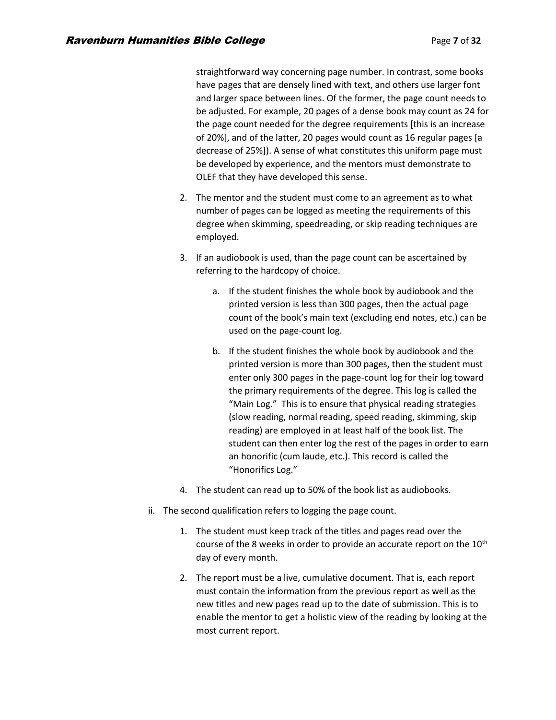straightforward way concerning page number. In contrast, some books have pages that are densely lined with text, and others use larger font and larger space between lines. Of the former, the page count needs to be adjusted. For example, 20 pages of a dense book may count as 24 for the page count needed for the degree requirements [this is an increase of 20%], and of the latter, 20 pages would count as 16 regular pages [a decrease of 25%]). A sense of what constitutes this uniform page must be developed by experience, and the mentors must demonstrate to OLEF that they have developed this sense.

- 2. The mentor and the student must come to an agreement as to what number of pages can be logged as meeting the requirements of this degree when skimming, speedreading, or skip reading techniques are employed.
- 3. If an audiobook is used, than the page count can be ascertained by referring to the hardcopy of choice.
	- a. If the student finishes the whole book by audiobook and the printed version is less than 300 pages, then the actual page count of the book's main text (excluding end notes, etc.) can be used on the page-count log.
	- b. If the student finishes the whole book by audiobook and the printed version is more than 300 pages, then the student must enter only 300 pages in the page-count log for their log toward the primary requirements of the degree. This log is called the "Main Log." This is to ensure that physical reading strategies (slow reading, normal reading, speed reading, skimming, skip reading) are employed in at least half of the book list. The student can then enter log the rest of the pages in order to earn an honorific (cum laude, etc.). This record is called the "Honorifics Log."
- 4. The student can read up to 50% of the book list as audiobooks.
- ii. The second qualification refers to logging the page count.
	- 1. The student must keep track of the titles and pages read over the course of the 8 weeks in order to provide an accurate report on the  $10<sup>th</sup>$ day of every month.
	- 2. The report must be a live, cumulative document. That is, each report must contain the information from the previous report as well as the new titles and new pages read up to the date of submission. This is to enable the mentor to get a holistic view of the reading by looking at the most current report.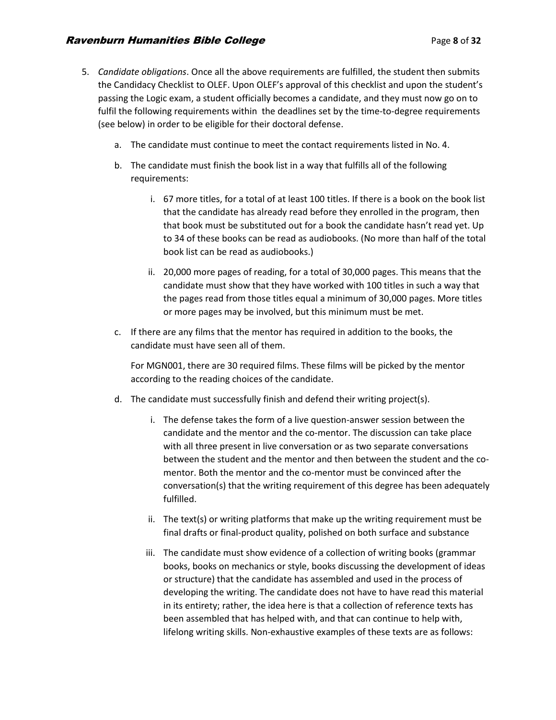- 5. *Candidate obligations*. Once all the above requirements are fulfilled, the student then submits the Candidacy Checklist to OLEF. Upon OLEF's approval of this checklist and upon the student's passing the Logic exam, a student officially becomes a candidate, and they must now go on to fulfil the following requirements within the deadlines set by the time-to-degree requirements (see below) in order to be eligible for their doctoral defense.
	- a. The candidate must continue to meet the contact requirements listed in No. 4.
	- b. The candidate must finish the book list in a way that fulfills all of the following requirements:
		- i. 67 more titles, for a total of at least 100 titles. If there is a book on the book list that the candidate has already read before they enrolled in the program, then that book must be substituted out for a book the candidate hasn't read yet. Up to 34 of these books can be read as audiobooks. (No more than half of the total book list can be read as audiobooks.)
		- ii. 20,000 more pages of reading, for a total of 30,000 pages. This means that the candidate must show that they have worked with 100 titles in such a way that the pages read from those titles equal a minimum of 30,000 pages. More titles or more pages may be involved, but this minimum must be met.
	- c. If there are any films that the mentor has required in addition to the books, the candidate must have seen all of them.

For MGN001, there are 30 required films. These films will be picked by the mentor according to the reading choices of the candidate.

- d. The candidate must successfully finish and defend their writing project(s).
	- i. The defense takes the form of a live question-answer session between the candidate and the mentor and the co-mentor. The discussion can take place with all three present in live conversation or as two separate conversations between the student and the mentor and then between the student and the comentor. Both the mentor and the co-mentor must be convinced after the conversation(s) that the writing requirement of this degree has been adequately fulfilled.
	- ii. The text(s) or writing platforms that make up the writing requirement must be final drafts or final-product quality, polished on both surface and substance
	- iii. The candidate must show evidence of a collection of writing books (grammar books, books on mechanics or style, books discussing the development of ideas or structure) that the candidate has assembled and used in the process of developing the writing. The candidate does not have to have read this material in its entirety; rather, the idea here is that a collection of reference texts has been assembled that has helped with, and that can continue to help with, lifelong writing skills. Non-exhaustive examples of these texts are as follows: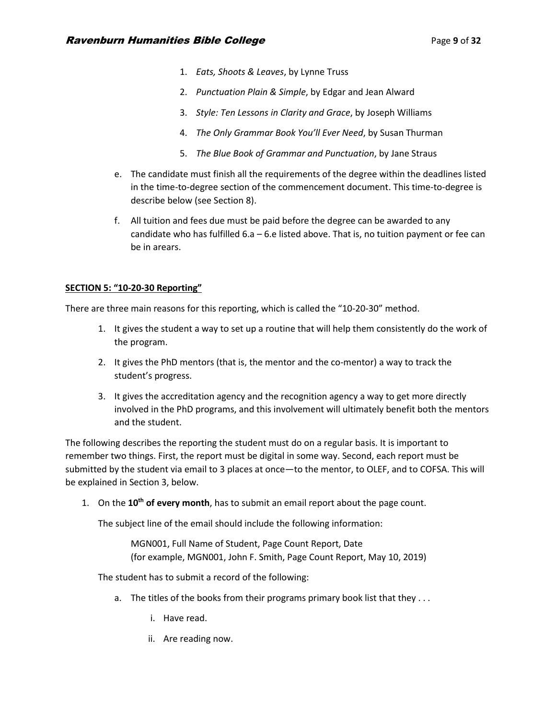- 1. *Eats, Shoots & Leaves*, by Lynne Truss
- 2. *Punctuation Plain & Simple*, by Edgar and Jean Alward
- 3. *Style: Ten Lessons in Clarity and Grace*, by Joseph Williams
- 4. *The Only Grammar Book You'll Ever Need*, by Susan Thurman
- 5. *The Blue Book of Grammar and Punctuation*, by Jane Straus
- e. The candidate must finish all the requirements of the degree within the deadlines listed in the time-to-degree section of the commencement document. This time-to-degree is describe below (see Section 8).
- f. All tuition and fees due must be paid before the degree can be awarded to any candidate who has fulfilled 6.a – 6.e listed above. That is, no tuition payment or fee can be in arears.

# **SECTION 5: "10-20-30 Reporting"**

There are three main reasons for this reporting, which is called the "10-20-30" method.

- 1. It gives the student a way to set up a routine that will help them consistently do the work of the program.
- 2. It gives the PhD mentors (that is, the mentor and the co-mentor) a way to track the student's progress.
- 3. It gives the accreditation agency and the recognition agency a way to get more directly involved in the PhD programs, and this involvement will ultimately benefit both the mentors and the student.

The following describes the reporting the student must do on a regular basis. It is important to remember two things. First, the report must be digital in some way. Second, each report must be submitted by the student via email to 3 places at once—to the mentor, to OLEF, and to COFSA. This will be explained in Section 3, below.

1. On the **10th of every month**, has to submit an email report about the page count.

The subject line of the email should include the following information:

MGN001, Full Name of Student, Page Count Report, Date (for example, MGN001, John F. Smith, Page Count Report, May 10, 2019)

The student has to submit a record of the following:

- a. The titles of the books from their programs primary book list that they . . .
	- i. Have read.
	- ii. Are reading now.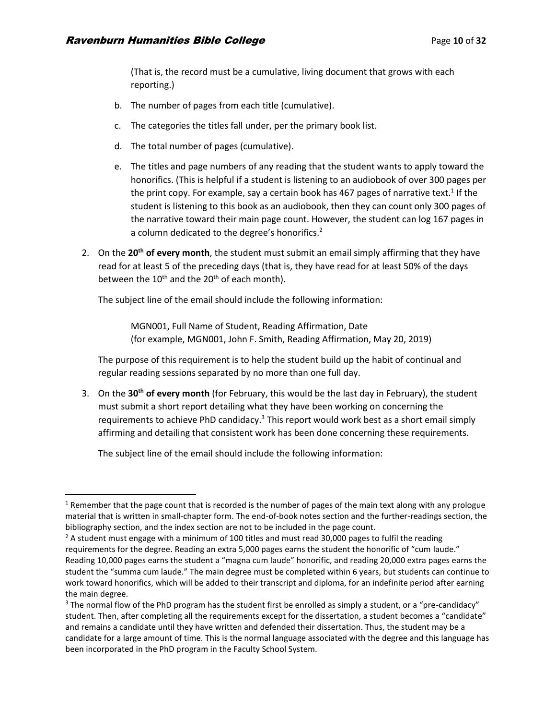(That is, the record must be a cumulative, living document that grows with each reporting.)

- b. The number of pages from each title (cumulative).
- c. The categories the titles fall under, per the primary book list.
- d. The total number of pages (cumulative).
- e. The titles and page numbers of any reading that the student wants to apply toward the honorifics. (This is helpful if a student is listening to an audiobook of over 300 pages per the print copy. For example, say a certain book has 467 pages of narrative text.<sup>1</sup> If the student is listening to this book as an audiobook, then they can count only 300 pages of the narrative toward their main page count. However, the student can log 167 pages in a column dedicated to the degree's honorifics.<sup>2</sup>
- 2. On the **20th of every month**, the student must submit an email simply affirming that they have read for at least 5 of the preceding days (that is, they have read for at least 50% of the days between the  $10^{th}$  and the  $20^{th}$  of each month).

The subject line of the email should include the following information:

MGN001, Full Name of Student, Reading Affirmation, Date (for example, MGN001, John F. Smith, Reading Affirmation, May 20, 2019)

The purpose of this requirement is to help the student build up the habit of continual and regular reading sessions separated by no more than one full day.

3. On the **30th of every month** (for February, this would be the last day in February), the student must submit a short report detailing what they have been working on concerning the requirements to achieve PhD candidacy. $3$  This report would work best as a short email simply affirming and detailing that consistent work has been done concerning these requirements.

The subject line of the email should include the following information:

 $1$  Remember that the page count that is recorded is the number of pages of the main text along with any prologue material that is written in small-chapter form. The end-of-book notes section and the further-readings section, the bibliography section, and the index section are not to be included in the page count.

 $2$  A student must engage with a minimum of 100 titles and must read 30,000 pages to fulfil the reading requirements for the degree. Reading an extra 5,000 pages earns the student the honorific of "cum laude." Reading 10,000 pages earns the student a "magna cum laude" honorific, and reading 20,000 extra pages earns the student the "summa cum laude." The main degree must be completed within 6 years, but students can continue to work toward honorifics, which will be added to their transcript and diploma, for an indefinite period after earning the main degree.

<sup>&</sup>lt;sup>3</sup> The normal flow of the PhD program has the student first be enrolled as simply a student, or a "pre-candidacy" student. Then, after completing all the requirements except for the dissertation, a student becomes a "candidate" and remains a candidate until they have written and defended their dissertation. Thus, the student may be a candidate for a large amount of time. This is the normal language associated with the degree and this language has been incorporated in the PhD program in the Faculty School System.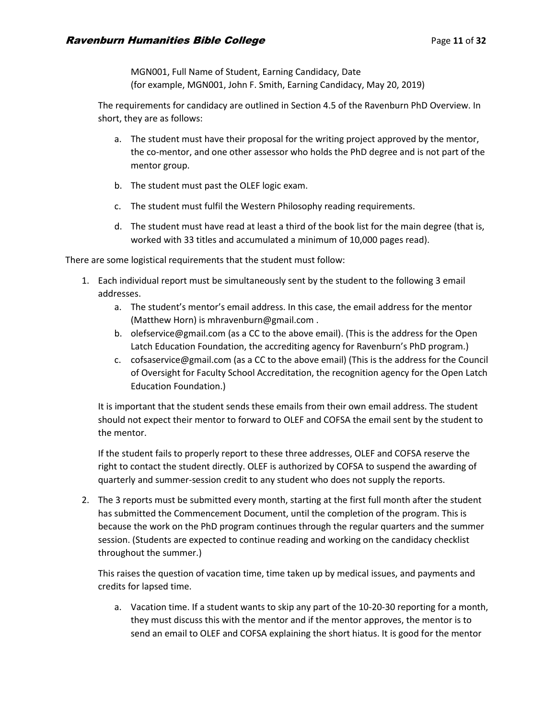MGN001, Full Name of Student, Earning Candidacy, Date (for example, MGN001, John F. Smith, Earning Candidacy, May 20, 2019)

The requirements for candidacy are outlined in Section 4.5 of the Ravenburn PhD Overview. In short, they are as follows:

- a. The student must have their proposal for the writing project approved by the mentor, the co-mentor, and one other assessor who holds the PhD degree and is not part of the mentor group.
- b. The student must past the OLEF logic exam.
- c. The student must fulfil the Western Philosophy reading requirements.
- d. The student must have read at least a third of the book list for the main degree (that is, worked with 33 titles and accumulated a minimum of 10,000 pages read).

There are some logistical requirements that the student must follow:

- 1. Each individual report must be simultaneously sent by the student to the following 3 email addresses.
	- a. The student's mentor's email address. In this case, the email address for the mentor (Matthew Horn) is mhravenburn@gmail.com .
	- b. olefservice@gmail.com (as a CC to the above email). (This is the address for the Open Latch Education Foundation, the accrediting agency for Ravenburn's PhD program.)
	- c. cofsaservice@gmail.com (as a CC to the above email) (This is the address for the Council of Oversight for Faculty School Accreditation, the recognition agency for the Open Latch Education Foundation.)

It is important that the student sends these emails from their own email address. The student should not expect their mentor to forward to OLEF and COFSA the email sent by the student to the mentor.

If the student fails to properly report to these three addresses, OLEF and COFSA reserve the right to contact the student directly. OLEF is authorized by COFSA to suspend the awarding of quarterly and summer-session credit to any student who does not supply the reports.

2. The 3 reports must be submitted every month, starting at the first full month after the student has submitted the Commencement Document, until the completion of the program. This is because the work on the PhD program continues through the regular quarters and the summer session. (Students are expected to continue reading and working on the candidacy checklist throughout the summer.)

This raises the question of vacation time, time taken up by medical issues, and payments and credits for lapsed time.

a. Vacation time. If a student wants to skip any part of the 10-20-30 reporting for a month, they must discuss this with the mentor and if the mentor approves, the mentor is to send an email to OLEF and COFSA explaining the short hiatus. It is good for the mentor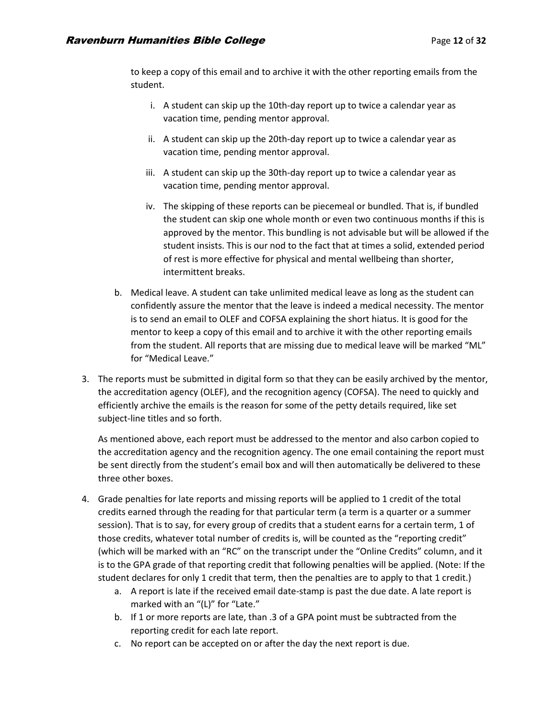to keep a copy of this email and to archive it with the other reporting emails from the student.

- i. A student can skip up the 10th-day report up to twice a calendar year as vacation time, pending mentor approval.
- ii. A student can skip up the 20th-day report up to twice a calendar year as vacation time, pending mentor approval.
- iii. A student can skip up the 30th-day report up to twice a calendar year as vacation time, pending mentor approval.
- iv. The skipping of these reports can be piecemeal or bundled. That is, if bundled the student can skip one whole month or even two continuous months if this is approved by the mentor. This bundling is not advisable but will be allowed if the student insists. This is our nod to the fact that at times a solid, extended period of rest is more effective for physical and mental wellbeing than shorter, intermittent breaks.
- b. Medical leave. A student can take unlimited medical leave as long as the student can confidently assure the mentor that the leave is indeed a medical necessity. The mentor is to send an email to OLEF and COFSA explaining the short hiatus. It is good for the mentor to keep a copy of this email and to archive it with the other reporting emails from the student. All reports that are missing due to medical leave will be marked "ML" for "Medical Leave."
- 3. The reports must be submitted in digital form so that they can be easily archived by the mentor, the accreditation agency (OLEF), and the recognition agency (COFSA). The need to quickly and efficiently archive the emails is the reason for some of the petty details required, like set subject-line titles and so forth.

As mentioned above, each report must be addressed to the mentor and also carbon copied to the accreditation agency and the recognition agency. The one email containing the report must be sent directly from the student's email box and will then automatically be delivered to these three other boxes.

- 4. Grade penalties for late reports and missing reports will be applied to 1 credit of the total credits earned through the reading for that particular term (a term is a quarter or a summer session). That is to say, for every group of credits that a student earns for a certain term, 1 of those credits, whatever total number of credits is, will be counted as the "reporting credit" (which will be marked with an "RC" on the transcript under the "Online Credits" column, and it is to the GPA grade of that reporting credit that following penalties will be applied. (Note: If the student declares for only 1 credit that term, then the penalties are to apply to that 1 credit.)
	- a. A report is late if the received email date-stamp is past the due date. A late report is marked with an "(L)" for "Late."
	- b. If 1 or more reports are late, than .3 of a GPA point must be subtracted from the reporting credit for each late report.
	- c. No report can be accepted on or after the day the next report is due.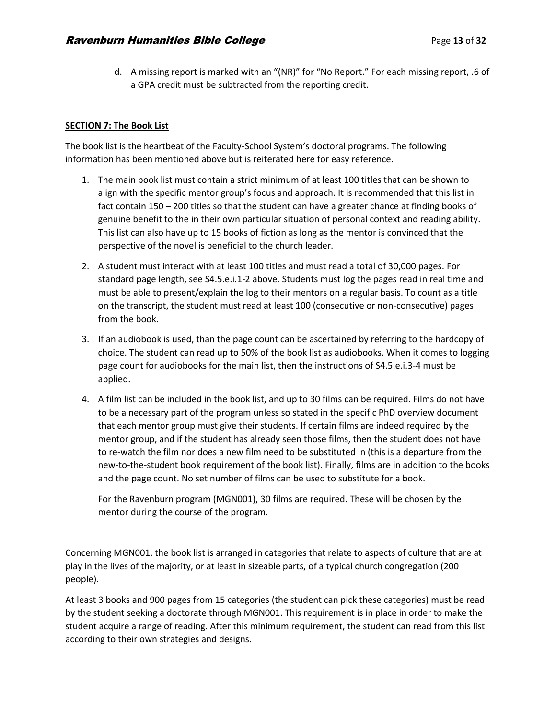d. A missing report is marked with an "(NR)" for "No Report." For each missing report, .6 of a GPA credit must be subtracted from the reporting credit.

## **SECTION 7: The Book List**

The book list is the heartbeat of the Faculty-School System's doctoral programs. The following information has been mentioned above but is reiterated here for easy reference.

- 1. The main book list must contain a strict minimum of at least 100 titles that can be shown to align with the specific mentor group's focus and approach. It is recommended that this list in fact contain 150 – 200 titles so that the student can have a greater chance at finding books of genuine benefit to the in their own particular situation of personal context and reading ability. This list can also have up to 15 books of fiction as long as the mentor is convinced that the perspective of the novel is beneficial to the church leader.
- 2. A student must interact with at least 100 titles and must read a total of 30,000 pages. For standard page length, see S4.5.e.i.1-2 above. Students must log the pages read in real time and must be able to present/explain the log to their mentors on a regular basis. To count as a title on the transcript, the student must read at least 100 (consecutive or non-consecutive) pages from the book.
- 3. If an audiobook is used, than the page count can be ascertained by referring to the hardcopy of choice. The student can read up to 50% of the book list as audiobooks. When it comes to logging page count for audiobooks for the main list, then the instructions of S4.5.e.i.3-4 must be applied.
- 4. A film list can be included in the book list, and up to 30 films can be required. Films do not have to be a necessary part of the program unless so stated in the specific PhD overview document that each mentor group must give their students. If certain films are indeed required by the mentor group, and if the student has already seen those films, then the student does not have to re-watch the film nor does a new film need to be substituted in (this is a departure from the new-to-the-student book requirement of the book list). Finally, films are in addition to the books and the page count. No set number of films can be used to substitute for a book.

For the Ravenburn program (MGN001), 30 films are required. These will be chosen by the mentor during the course of the program.

Concerning MGN001, the book list is arranged in categories that relate to aspects of culture that are at play in the lives of the majority, or at least in sizeable parts, of a typical church congregation (200 people).

At least 3 books and 900 pages from 15 categories (the student can pick these categories) must be read by the student seeking a doctorate through MGN001. This requirement is in place in order to make the student acquire a range of reading. After this minimum requirement, the student can read from this list according to their own strategies and designs.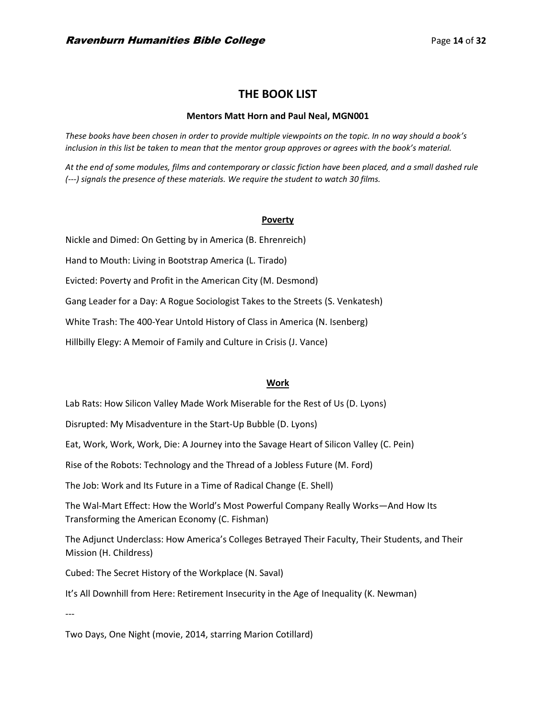# **THE BOOK LIST**

#### **Mentors Matt Horn and Paul Neal, MGN001**

*These books have been chosen in order to provide multiple viewpoints on the topic. In no way should a book's inclusion in this list be taken to mean that the mentor group approves or agrees with the book's material.*

*At the end of some modules, films and contemporary or classic fiction have been placed, and a small dashed rule (---) signals the presence of these materials. We require the student to watch 30 films.* 

#### **Poverty**

Nickle and Dimed: On Getting by in America (B. Ehrenreich) Hand to Mouth: Living in Bootstrap America (L. Tirado) Evicted: Poverty and Profit in the American City (M. Desmond) Gang Leader for a Day: A Rogue Sociologist Takes to the Streets (S. Venkatesh) White Trash: The 400-Year Untold History of Class in America (N. Isenberg) Hillbilly Elegy: A Memoir of Family and Culture in Crisis (J. Vance)

## **Work**

Lab Rats: How Silicon Valley Made Work Miserable for the Rest of Us (D. Lyons)

Disrupted: My Misadventure in the Start-Up Bubble (D. Lyons)

Eat, Work, Work, Work, Die: A Journey into the Savage Heart of Silicon Valley (C. Pein)

Rise of the Robots: Technology and the Thread of a Jobless Future (M. Ford)

The Job: Work and Its Future in a Time of Radical Change (E. Shell)

The Wal-Mart Effect: How the World's Most Powerful Company Really Works—And How Its Transforming the American Economy (C. Fishman)

The Adjunct Underclass: How America's Colleges Betrayed Their Faculty, Their Students, and Their Mission (H. Childress)

Cubed: The Secret History of the Workplace (N. Saval)

It's All Downhill from Here: Retirement Insecurity in the Age of Inequality (K. Newman)

---

Two Days, One Night (movie, 2014, starring Marion Cotillard)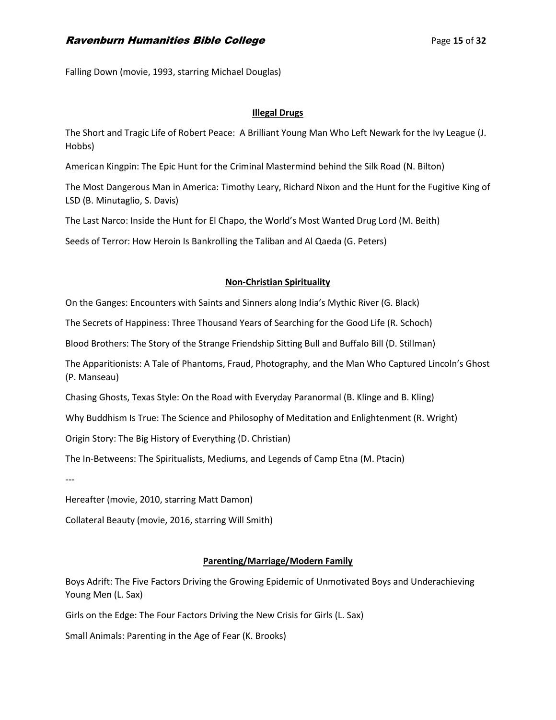Falling Down (movie, 1993, starring Michael Douglas)

# **Illegal Drugs**

The Short and Tragic Life of Robert Peace: A Brilliant Young Man Who Left Newark for the Ivy League (J. Hobbs)

American Kingpin: The Epic Hunt for the Criminal Mastermind behind the Silk Road (N. Bilton)

The Most Dangerous Man in America: Timothy Leary, Richard Nixon and the Hunt for the Fugitive King of LSD (B. Minutaglio, S. Davis)

The Last Narco: Inside the Hunt for El Chapo, the World's Most Wanted Drug Lord (M. Beith)

Seeds of Terror: How Heroin Is Bankrolling the Taliban and Al Qaeda (G. Peters)

# **Non-Christian Spirituality**

On the Ganges: Encounters with Saints and Sinners along India's Mythic River (G. Black)

The Secrets of Happiness: Three Thousand Years of Searching for the Good Life (R. Schoch)

Blood Brothers: The Story of the Strange Friendship Sitting Bull and Buffalo Bill (D. Stillman)

The Apparitionists: A Tale of Phantoms, Fraud, Photography, and the Man Who Captured Lincoln's Ghost (P. Manseau)

Chasing Ghosts, Texas Style: On the Road with Everyday Paranormal (B. Klinge and B. Kling)

Why Buddhism Is True: The Science and Philosophy of Meditation and Enlightenment (R. Wright)

Origin Story: The Big History of Everything (D. Christian)

The In-Betweens: The Spiritualists, Mediums, and Legends of Camp Etna (M. Ptacin)

---

Hereafter (movie, 2010, starring Matt Damon)

Collateral Beauty (movie, 2016, starring Will Smith)

# **Parenting/Marriage/Modern Family**

Boys Adrift: The Five Factors Driving the Growing Epidemic of Unmotivated Boys and Underachieving Young Men (L. Sax)

Girls on the Edge: The Four Factors Driving the New Crisis for Girls (L. Sax)

Small Animals: Parenting in the Age of Fear (K. Brooks)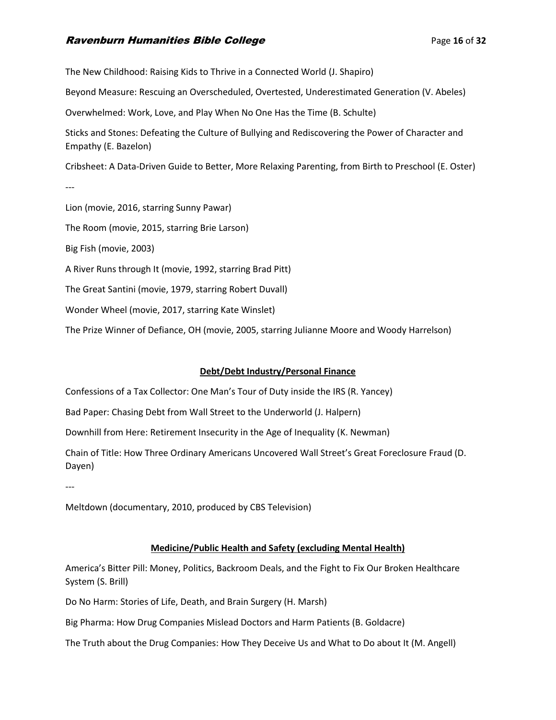# **Ravenburn Humanities Bible College Page 16 of 32 Page 16 of 32**

The New Childhood: Raising Kids to Thrive in a Connected World (J. Shapiro) Beyond Measure: Rescuing an Overscheduled, Overtested, Underestimated Generation (V. Abeles) Overwhelmed: Work, Love, and Play When No One Has the Time (B. Schulte) Sticks and Stones: Defeating the Culture of Bullying and Rediscovering the Power of Character and Empathy (E. Bazelon) Cribsheet: A Data-Driven Guide to Better, More Relaxing Parenting, from Birth to Preschool (E. Oster) --- Lion (movie, 2016, starring Sunny Pawar) The Room (movie, 2015, starring Brie Larson) Big Fish (movie, 2003) A River Runs through It (movie, 1992, starring Brad Pitt) The Great Santini (movie, 1979, starring Robert Duvall) Wonder Wheel (movie, 2017, starring Kate Winslet) The Prize Winner of Defiance, OH (movie, 2005, starring Julianne Moore and Woody Harrelson)

# **Debt/Debt Industry/Personal Finance**

Confessions of a Tax Collector: One Man's Tour of Duty inside the IRS (R. Yancey)

Bad Paper: Chasing Debt from Wall Street to the Underworld (J. Halpern)

Downhill from Here: Retirement Insecurity in the Age of Inequality (K. Newman)

Chain of Title: How Three Ordinary Americans Uncovered Wall Street's Great Foreclosure Fraud (D. Dayen)

---

Meltdown (documentary, 2010, produced by CBS Television)

## **Medicine/Public Health and Safety (excluding Mental Health)**

America's Bitter Pill: Money, Politics, Backroom Deals, and the Fight to Fix Our Broken Healthcare System (S. Brill)

Do No Harm: Stories of Life, Death, and Brain Surgery (H. Marsh)

Big Pharma: How Drug Companies Mislead Doctors and Harm Patients (B. Goldacre)

The Truth about the Drug Companies: How They Deceive Us and What to Do about It (M. Angell)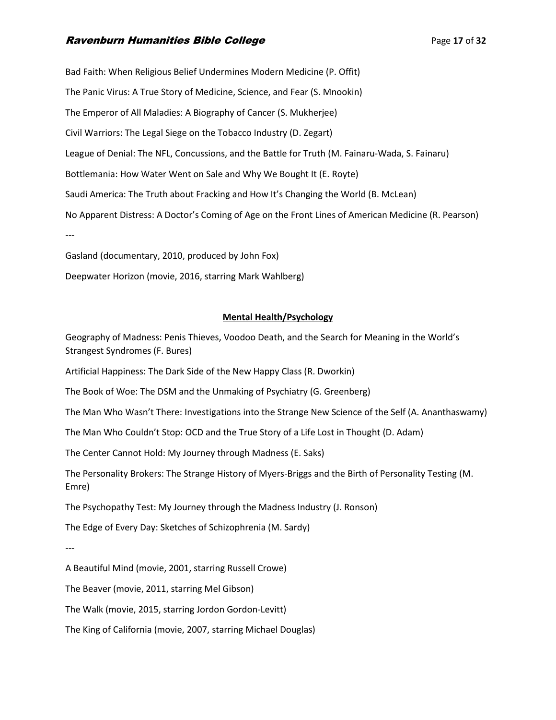# **Ravenburn Humanities Bible College Page 17 of 32**

Bad Faith: When Religious Belief Undermines Modern Medicine (P. Offit) The Panic Virus: A True Story of Medicine, Science, and Fear (S. Mnookin) The Emperor of All Maladies: A Biography of Cancer (S. Mukherjee) Civil Warriors: The Legal Siege on the Tobacco Industry (D. Zegart) League of Denial: The NFL, Concussions, and the Battle for Truth (M. Fainaru-Wada, S. Fainaru) Bottlemania: How Water Went on Sale and Why We Bought It (E. Royte) Saudi America: The Truth about Fracking and How It's Changing the World (B. McLean) No Apparent Distress: A Doctor's Coming of Age on the Front Lines of American Medicine (R. Pearson) --- Gasland (documentary, 2010, produced by John Fox)

Deepwater Horizon (movie, 2016, starring Mark Wahlberg)

# **Mental Health/Psychology**

Geography of Madness: Penis Thieves, Voodoo Death, and the Search for Meaning in the World's Strangest Syndromes (F. Bures)

Artificial Happiness: The Dark Side of the New Happy Class (R. Dworkin)

The Book of Woe: The DSM and the Unmaking of Psychiatry (G. Greenberg)

The Man Who Wasn't There: Investigations into the Strange New Science of the Self (A. Ananthaswamy)

The Man Who Couldn't Stop: OCD and the True Story of a Life Lost in Thought (D. Adam)

The Center Cannot Hold: My Journey through Madness (E. Saks)

The Personality Brokers: The Strange History of Myers-Briggs and the Birth of Personality Testing (M. Emre)

The Psychopathy Test: My Journey through the Madness Industry (J. Ronson)

The Edge of Every Day: Sketches of Schizophrenia (M. Sardy)

---

A Beautiful Mind (movie, 2001, starring Russell Crowe)

The Beaver (movie, 2011, starring Mel Gibson)

The Walk (movie, 2015, starring Jordon Gordon-Levitt)

The King of California (movie, 2007, starring Michael Douglas)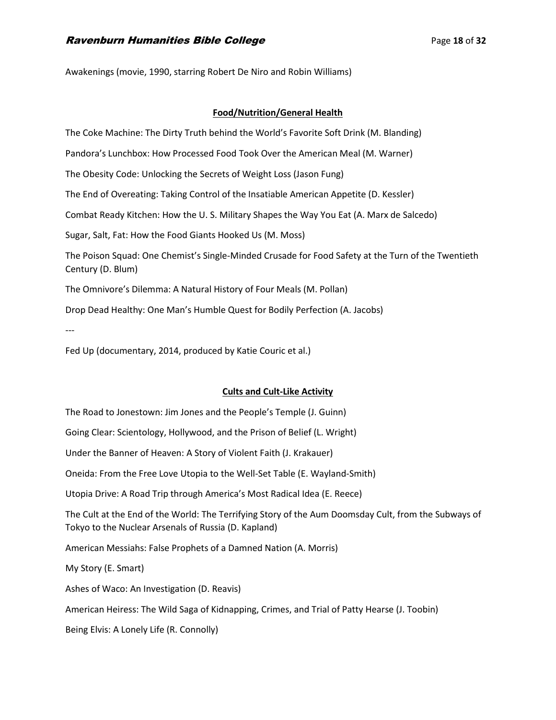Awakenings (movie, 1990, starring Robert De Niro and Robin Williams)

## **Food/Nutrition/General Health**

The Coke Machine: The Dirty Truth behind the World's Favorite Soft Drink (M. Blanding)

Pandora's Lunchbox: How Processed Food Took Over the American Meal (M. Warner)

The Obesity Code: Unlocking the Secrets of Weight Loss (Jason Fung)

The End of Overeating: Taking Control of the Insatiable American Appetite (D. Kessler)

Combat Ready Kitchen: How the U. S. Military Shapes the Way You Eat (A. Marx de Salcedo)

Sugar, Salt, Fat: How the Food Giants Hooked Us (M. Moss)

The Poison Squad: One Chemist's Single-Minded Crusade for Food Safety at the Turn of the Twentieth Century (D. Blum)

The Omnivore's Dilemma: A Natural History of Four Meals (M. Pollan)

Drop Dead Healthy: One Man's Humble Quest for Bodily Perfection (A. Jacobs)

---

Fed Up (documentary, 2014, produced by Katie Couric et al.)

#### **Cults and Cult-Like Activity**

The Road to Jonestown: Jim Jones and the People's Temple (J. Guinn) Going Clear: Scientology, Hollywood, and the Prison of Belief (L. Wright) Under the Banner of Heaven: A Story of Violent Faith (J. Krakauer) Oneida: From the Free Love Utopia to the Well-Set Table (E. Wayland-Smith) Utopia Drive: A Road Trip through America's Most Radical Idea (E. Reece) The Cult at the End of the World: The Terrifying Story of the Aum Doomsday Cult, from the Subways of Tokyo to the Nuclear Arsenals of Russia (D. Kapland) American Messiahs: False Prophets of a Damned Nation (A. Morris) My Story (E. Smart) Ashes of Waco: An Investigation (D. Reavis) American Heiress: The Wild Saga of Kidnapping, Crimes, and Trial of Patty Hearse (J. Toobin) Being Elvis: A Lonely Life (R. Connolly)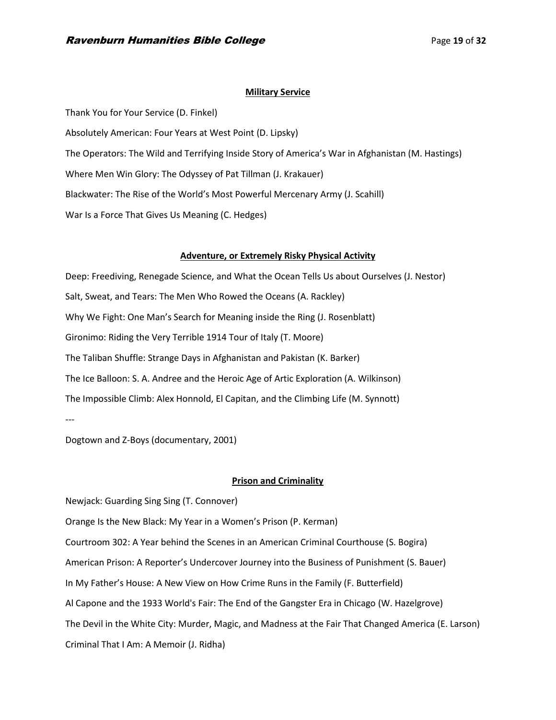#### **Military Service**

Thank You for Your Service (D. Finkel) Absolutely American: Four Years at West Point (D. Lipsky) The Operators: The Wild and Terrifying Inside Story of America's War in Afghanistan (M. Hastings) Where Men Win Glory: The Odyssey of Pat Tillman (J. Krakauer) Blackwater: The Rise of the World's Most Powerful Mercenary Army (J. Scahill) War Is a Force That Gives Us Meaning (C. Hedges)

#### **Adventure, or Extremely Risky Physical Activity**

Deep: Freediving, Renegade Science, and What the Ocean Tells Us about Ourselves (J. Nestor) Salt, Sweat, and Tears: The Men Who Rowed the Oceans (A. Rackley) Why We Fight: One Man's Search for Meaning inside the Ring (J. Rosenblatt) Gironimo: Riding the Very Terrible 1914 Tour of Italy (T. Moore) The Taliban Shuffle: Strange Days in Afghanistan and Pakistan (K. Barker) The Ice Balloon: S. A. Andree and the Heroic Age of Artic Exploration (A. Wilkinson) The Impossible Climb: Alex Honnold, El Capitan, and the Climbing Life (M. Synnott) ---

Dogtown and Z-Boys (documentary, 2001)

#### **Prison and Criminality**

Newjack: Guarding Sing Sing (T. Connover) Orange Is the New Black: My Year in a Women's Prison (P. Kerman) Courtroom 302: A Year behind the Scenes in an American Criminal Courthouse (S. Bogira) American Prison: A Reporter's Undercover Journey into the Business of Punishment (S. Bauer) In My Father's House: A New View on How Crime Runs in the Family (F. Butterfield) Al Capone and the 1933 World's Fair: The End of the Gangster Era in Chicago (W. Hazelgrove) The Devil in the White City: Murder, Magic, and Madness at the Fair That Changed America (E. Larson) Criminal That I Am: A Memoir (J. Ridha)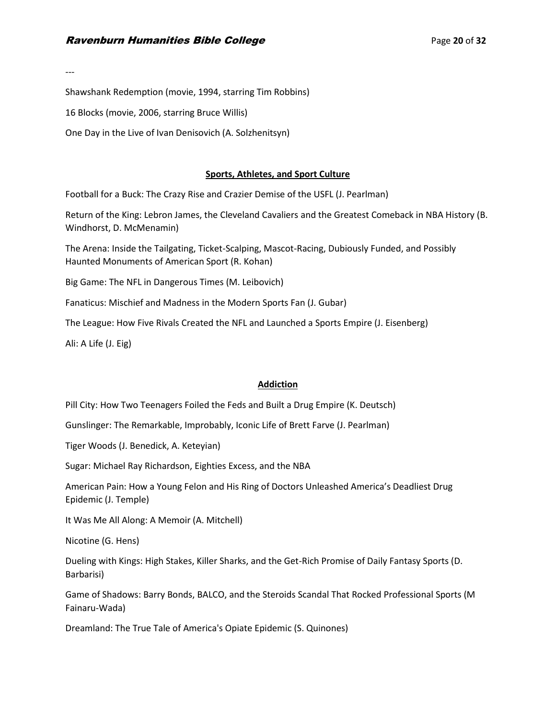---

Shawshank Redemption (movie, 1994, starring Tim Robbins)

16 Blocks (movie, 2006, starring Bruce Willis)

One Day in the Live of Ivan Denisovich (A. Solzhenitsyn)

#### **Sports, Athletes, and Sport Culture**

Football for a Buck: The Crazy Rise and Crazier Demise of the USFL (J. Pearlman)

Return of the King: Lebron James, the Cleveland Cavaliers and the Greatest Comeback in NBA History (B. Windhorst, D. McMenamin)

The Arena: Inside the Tailgating, Ticket-Scalping, Mascot-Racing, Dubiously Funded, and Possibly Haunted Monuments of American Sport (R. Kohan)

Big Game: The NFL in Dangerous Times (M. Leibovich)

Fanaticus: Mischief and Madness in the Modern Sports Fan (J. Gubar)

The League: How Five Rivals Created the NFL and Launched a Sports Empire (J. Eisenberg)

Ali: A Life (J. Eig)

#### **Addiction**

Pill City: How Two Teenagers Foiled the Feds and Built a Drug Empire (K. Deutsch)

Gunslinger: The Remarkable, Improbably, Iconic Life of Brett Farve (J. Pearlman)

Tiger Woods (J. Benedick, A. Keteyian)

Sugar: Michael Ray Richardson, Eighties Excess, and the NBA

American Pain: How a Young Felon and His Ring of Doctors Unleashed America's Deadliest Drug Epidemic (J. Temple)

It Was Me All Along: A Memoir (A. Mitchell)

Nicotine (G. Hens)

Dueling with Kings: High Stakes, Killer Sharks, and the Get-Rich Promise of Daily Fantasy Sports (D. Barbarisi)

Game of Shadows: Barry Bonds, BALCO, and the Steroids Scandal That Rocked Professional Sports (M Fainaru-Wada)

Dreamland: The True Tale of America's Opiate Epidemic (S. Quinones)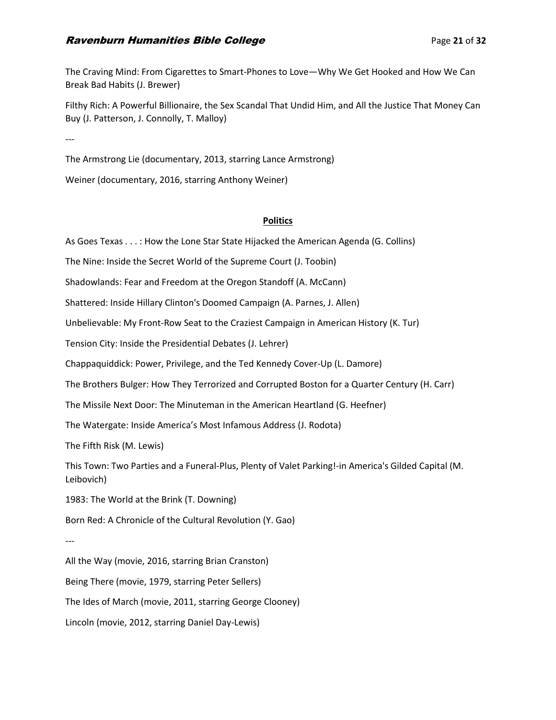# **Ravenburn Humanities Bible College Page 21 of 32 Page 21 of 32**

The Craving Mind: From Cigarettes to Smart-Phones to Love—Why We Get Hooked and How We Can Break Bad Habits (J. Brewer)

Filthy Rich: A Powerful Billionaire, the Sex Scandal That Undid Him, and All the Justice That Money Can Buy (J. Patterson, J. Connolly, T. Malloy)

---

The Armstrong Lie (documentary, 2013, starring Lance Armstrong)

Weiner (documentary, 2016, starring Anthony Weiner)

#### **Politics**

As Goes Texas . . . : How the Lone Star State Hijacked the American Agenda (G. Collins)

The Nine: Inside the Secret World of the Supreme Court (J. Toobin)

Shadowlands: Fear and Freedom at the Oregon Standoff (A. McCann)

Shattered: Inside Hillary Clinton's Doomed Campaign (A. Parnes, J. Allen)

Unbelievable: My Front-Row Seat to the Craziest Campaign in American History (K. Tur)

Tension City: Inside the Presidential Debates (J. Lehrer)

Chappaquiddick: Power, Privilege, and the Ted Kennedy Cover-Up (L. Damore)

The Brothers Bulger: How They Terrorized and Corrupted Boston for a Quarter Century (H. Carr)

The Missile Next Door: The Minuteman in the American Heartland (G. Heefner)

The Watergate: Inside America's Most Infamous Address (J. Rodota)

The Fifth Risk (M. Lewis)

This Town: Two Parties and a Funeral-Plus, Plenty of Valet Parking!-in America's Gilded Capital (M. Leibovich)

1983: The World at the Brink (T. Downing)

Born Red: A Chronicle of the Cultural Revolution (Y. Gao)

---

All the Way (movie, 2016, starring Brian Cranston) Being There (movie, 1979, starring Peter Sellers) The Ides of March (movie, 2011, starring George Clooney) Lincoln (movie, 2012, starring Daniel Day-Lewis)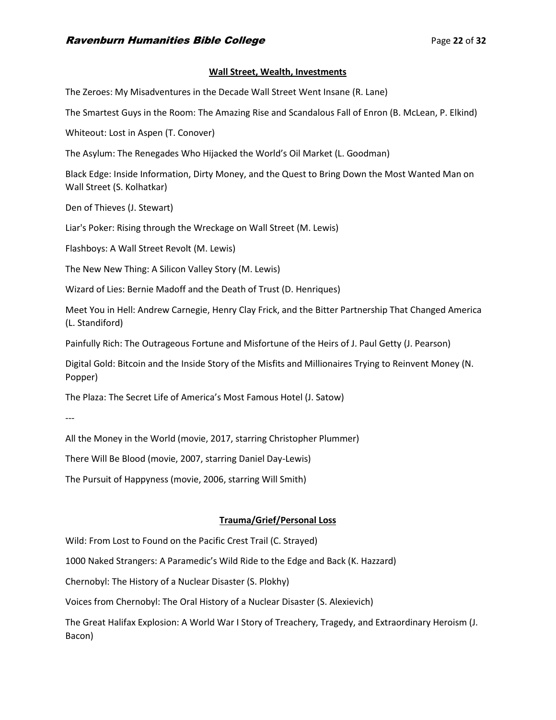#### **Wall Street, Wealth, Investments**

The Zeroes: My Misadventures in the Decade Wall Street Went Insane (R. Lane)

The Smartest Guys in the Room: The Amazing Rise and Scandalous Fall of Enron (B. McLean, P. Elkind)

Whiteout: Lost in Aspen (T. Conover)

The Asylum: The Renegades Who Hijacked the World's Oil Market (L. Goodman)

Black Edge: Inside Information, Dirty Money, and the Quest to Bring Down the Most Wanted Man on Wall Street (S. Kolhatkar)

Den of Thieves (J. Stewart)

Liar's Poker: Rising through the Wreckage on Wall Street (M. Lewis)

Flashboys: A Wall Street Revolt (M. Lewis)

The New New Thing: A Silicon Valley Story (M. Lewis)

Wizard of Lies: Bernie Madoff and the Death of Trust (D. Henriques)

Meet You in Hell: Andrew Carnegie, Henry Clay Frick, and the Bitter Partnership That Changed America (L. Standiford)

Painfully Rich: The Outrageous Fortune and Misfortune of the Heirs of J. Paul Getty (J. Pearson)

Digital Gold: Bitcoin and the Inside Story of the Misfits and Millionaires Trying to Reinvent Money (N. Popper)

The Plaza: The Secret Life of America's Most Famous Hotel (J. Satow)

---

All the Money in the World (movie, 2017, starring Christopher Plummer)

There Will Be Blood (movie, 2007, starring Daniel Day-Lewis)

The Pursuit of Happyness (movie, 2006, starring Will Smith)

## **Trauma/Grief/Personal Loss**

Wild: From Lost to Found on the Pacific Crest Trail (C. Strayed)

1000 Naked Strangers: A Paramedic's Wild Ride to the Edge and Back (K. Hazzard)

Chernobyl: The History of a Nuclear Disaster (S. Plokhy)

Voices from Chernobyl: The Oral History of a Nuclear Disaster (S. Alexievich)

The Great Halifax Explosion: A World War I Story of Treachery, Tragedy, and Extraordinary Heroism (J. Bacon)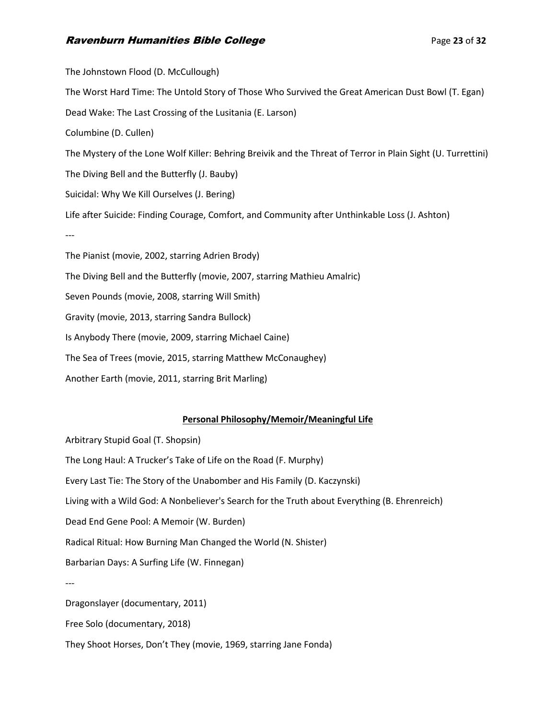# **Ravenburn Humanities Bible College Page 12 and Separate Page 23 of 32 Page 23 of 32**

The Johnstown Flood (D. McCullough) The Worst Hard Time: The Untold Story of Those Who Survived the Great American Dust Bowl (T. Egan) Dead Wake: The Last Crossing of the Lusitania (E. Larson) Columbine (D. Cullen) The Mystery of the Lone Wolf Killer: Behring Breivik and the Threat of Terror in Plain Sight (U. Turrettini) The Diving Bell and the Butterfly (J. Bauby) Suicidal: Why We Kill Ourselves (J. Bering) Life after Suicide: Finding Courage, Comfort, and Community after Unthinkable Loss (J. Ashton) --- The Pianist (movie, 2002, starring Adrien Brody) The Diving Bell and the Butterfly (movie, 2007, starring Mathieu Amalric) Seven Pounds (movie, 2008, starring Will Smith) Gravity (movie, 2013, starring Sandra Bullock) Is Anybody There (movie, 2009, starring Michael Caine) The Sea of Trees (movie, 2015, starring Matthew McConaughey) Another Earth (movie, 2011, starring Brit Marling)

# **Personal Philosophy/Memoir/Meaningful Life**

Arbitrary Stupid Goal (T. Shopsin) The Long Haul: A Trucker's Take of Life on the Road (F. Murphy) Every Last Tie: The Story of the Unabomber and His Family (D. Kaczynski) Living with a Wild God: A Nonbeliever's Search for the Truth about Everything (B. Ehrenreich) Dead End Gene Pool: A Memoir (W. Burden) Radical Ritual: How Burning Man Changed the World (N. Shister) Barbarian Days: A Surfing Life (W. Finnegan) --- Dragonslayer (documentary, 2011) Free Solo (documentary, 2018) They Shoot Horses, Don't They (movie, 1969, starring Jane Fonda)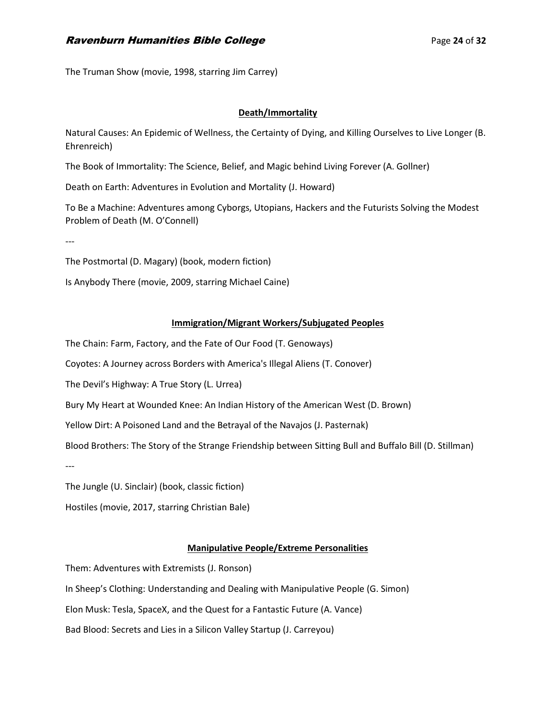The Truman Show (movie, 1998, starring Jim Carrey)

# **Death/Immortality**

Natural Causes: An Epidemic of Wellness, the Certainty of Dying, and Killing Ourselves to Live Longer (B. Ehrenreich)

The Book of Immortality: The Science, Belief, and Magic behind Living Forever (A. Gollner)

Death on Earth: Adventures in Evolution and Mortality (J. Howard)

To Be a Machine: Adventures among Cyborgs, Utopians, Hackers and the Futurists Solving the Modest Problem of Death (M. O'Connell)

---

The Postmortal (D. Magary) (book, modern fiction)

Is Anybody There (movie, 2009, starring Michael Caine)

#### **Immigration/Migrant Workers/Subjugated Peoples**

The Chain: Farm, Factory, and the Fate of Our Food (T. Genoways)

Coyotes: A Journey across Borders with America's Illegal Aliens (T. Conover)

The Devil's Highway: A True Story (L. Urrea)

Bury My Heart at Wounded Knee: An Indian History of the American West (D. Brown)

Yellow Dirt: A Poisoned Land and the Betrayal of the Navajos (J. Pasternak)

Blood Brothers: The Story of the Strange Friendship between Sitting Bull and Buffalo Bill (D. Stillman)

---

The Jungle (U. Sinclair) (book, classic fiction)

Hostiles (movie, 2017, starring Christian Bale)

## **Manipulative People/Extreme Personalities**

Them: Adventures with Extremists (J. Ronson)

In Sheep's Clothing: Understanding and Dealing with Manipulative People (G. Simon)

Elon Musk: Tesla, SpaceX, and the Quest for a Fantastic Future (A. Vance)

Bad Blood: Secrets and Lies in a Silicon Valley Startup (J. Carreyou)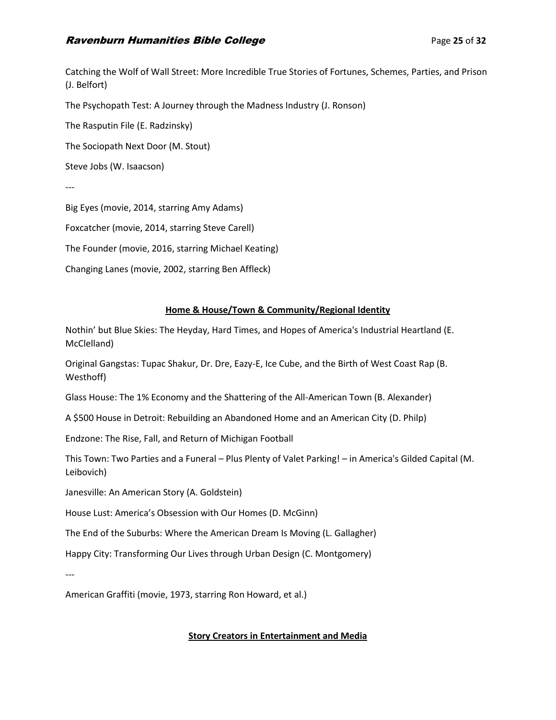# **Ravenburn Humanities Bible College Page 25 of 32 Page 25 of 32**

Catching the Wolf of Wall Street: More Incredible True Stories of Fortunes, Schemes, Parties, and Prison (J. Belfort)

The Psychopath Test: A Journey through the Madness Industry (J. Ronson)

The Rasputin File (E. Radzinsky)

The Sociopath Next Door (M. Stout)

Steve Jobs (W. Isaacson)

---

Big Eyes (movie, 2014, starring Amy Adams)

Foxcatcher (movie, 2014, starring Steve Carell)

The Founder (movie, 2016, starring Michael Keating)

Changing Lanes (movie, 2002, starring Ben Affleck)

# **Home & House/Town & Community/Regional Identity**

Nothin' but Blue Skies: The Heyday, Hard Times, and Hopes of America's Industrial Heartland (E. McClelland)

Original Gangstas: Tupac Shakur, Dr. Dre, Eazy-E, Ice Cube, and the Birth of West Coast Rap (B. Westhoff)

Glass House: The 1% Economy and the Shattering of the All-American Town (B. Alexander)

A \$500 House in Detroit: Rebuilding an Abandoned Home and an American City (D. Philp)

Endzone: The Rise, Fall, and Return of Michigan Football

This Town: Two Parties and a Funeral – Plus Plenty of Valet Parking! – in America's Gilded Capital (M. Leibovich)

Janesville: An American Story (A. Goldstein)

House Lust: America's Obsession with Our Homes (D. McGinn)

The End of the Suburbs: Where the American Dream Is Moving (L. Gallagher)

Happy City: Transforming Our Lives through Urban Design (C. Montgomery)

---

American Graffiti (movie, 1973, starring Ron Howard, et al.)

# **Story Creators in Entertainment and Media**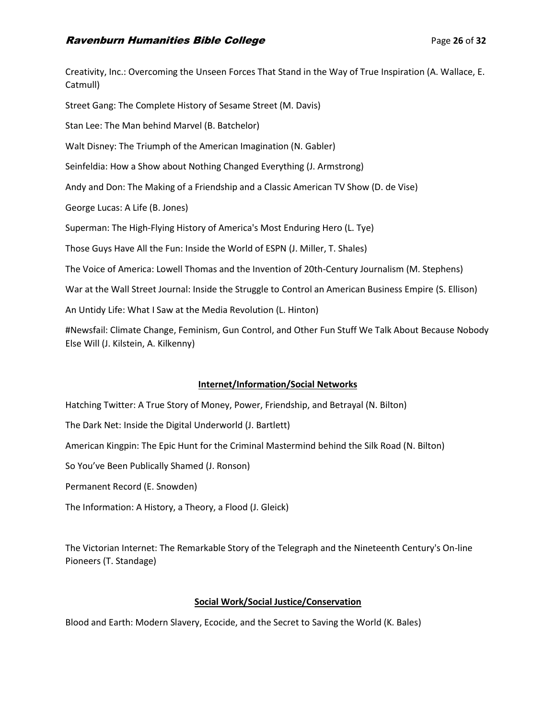# **Ravenburn Humanities Bible College Page 26** of 32

Creativity, Inc.: Overcoming the Unseen Forces That Stand in the Way of True Inspiration (A. Wallace, E. Catmull) Street Gang: The Complete History of Sesame Street (M. Davis) Stan Lee: The Man behind Marvel (B. Batchelor) Walt Disney: The Triumph of the American Imagination (N. Gabler) Seinfeldia: How a Show about Nothing Changed Everything (J. Armstrong) Andy and Don: The Making of a Friendship and a Classic American TV Show (D. de Vise) George Lucas: A Life (B. Jones) Superman: The High-Flying History of America's Most Enduring Hero (L. Tye) Those Guys Have All the Fun: Inside the World of ESPN (J. Miller, T. Shales) The Voice of America: Lowell Thomas and the Invention of 20th-Century Journalism (M. Stephens) War at the Wall Street Journal: Inside the Struggle to Control an American Business Empire (S. Ellison) An Untidy Life: What I Saw at the Media Revolution (L. Hinton) #Newsfail: Climate Change, Feminism, Gun Control, and Other Fun Stuff We Talk About Because Nobody Else Will (J. Kilstein, A. Kilkenny)

## **Internet/Information/Social Networks**

Hatching Twitter: A True Story of Money, Power, Friendship, and Betrayal (N. Bilton)

The Dark Net: Inside the Digital Underworld (J. Bartlett)

American Kingpin: The Epic Hunt for the Criminal Mastermind behind the Silk Road (N. Bilton)

So You've Been Publically Shamed (J. Ronson)

Permanent Record (E. Snowden)

The Information: A History, a Theory, a Flood (J. Gleick)

The Victorian Internet: The Remarkable Story of the Telegraph and the Nineteenth Century's On-line Pioneers (T. Standage)

# **Social Work/Social Justice/Conservation**

Blood and Earth: Modern Slavery, Ecocide, and the Secret to Saving the World (K. Bales)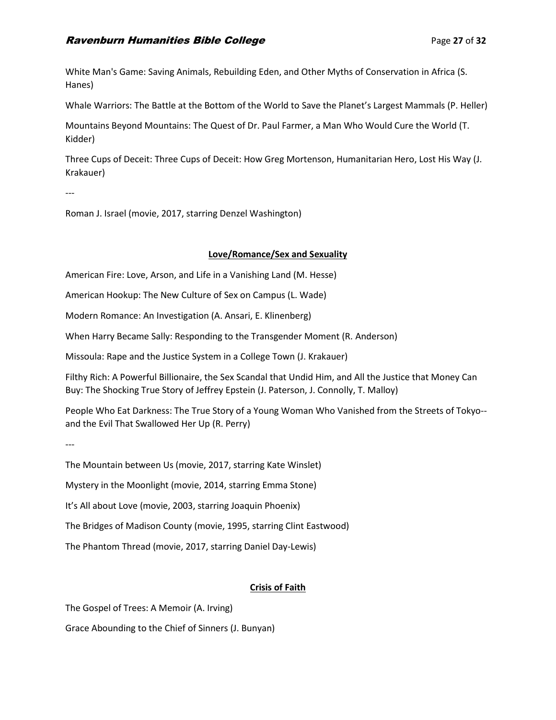# **Ravenburn Humanities Bible College Page 27** of 32

White Man's Game: Saving Animals, Rebuilding Eden, and Other Myths of Conservation in Africa (S. Hanes)

Whale Warriors: The Battle at the Bottom of the World to Save the Planet's Largest Mammals (P. Heller)

Mountains Beyond Mountains: The Quest of Dr. Paul Farmer, a Man Who Would Cure the World (T. Kidder)

Three Cups of Deceit: Three Cups of Deceit: How Greg Mortenson, Humanitarian Hero, Lost His Way (J. Krakauer)

---

Roman J. Israel (movie, 2017, starring Denzel Washington)

#### **Love/Romance/Sex and Sexuality**

American Fire: Love, Arson, and Life in a Vanishing Land (M. Hesse)

American Hookup: The New Culture of Sex on Campus (L. Wade)

Modern Romance: An Investigation (A. Ansari, E. Klinenberg)

When Harry Became Sally: Responding to the Transgender Moment (R. Anderson)

Missoula: Rape and the Justice System in a College Town (J. Krakauer)

Filthy Rich: A Powerful Billionaire, the Sex Scandal that Undid Him, and All the Justice that Money Can Buy: The Shocking True Story of Jeffrey Epstein (J. Paterson, J. Connolly, T. Malloy)

People Who Eat Darkness: The True Story of a Young Woman Who Vanished from the Streets of Tokyo- and the Evil That Swallowed Her Up (R. Perry)

---

The Mountain between Us (movie, 2017, starring Kate Winslet)

Mystery in the Moonlight (movie, 2014, starring Emma Stone)

It's All about Love (movie, 2003, starring Joaquin Phoenix)

The Bridges of Madison County (movie, 1995, starring Clint Eastwood)

The Phantom Thread (movie, 2017, starring Daniel Day-Lewis)

## **Crisis of Faith**

The Gospel of Trees: A Memoir (A. Irving)

Grace Abounding to the Chief of Sinners (J. Bunyan)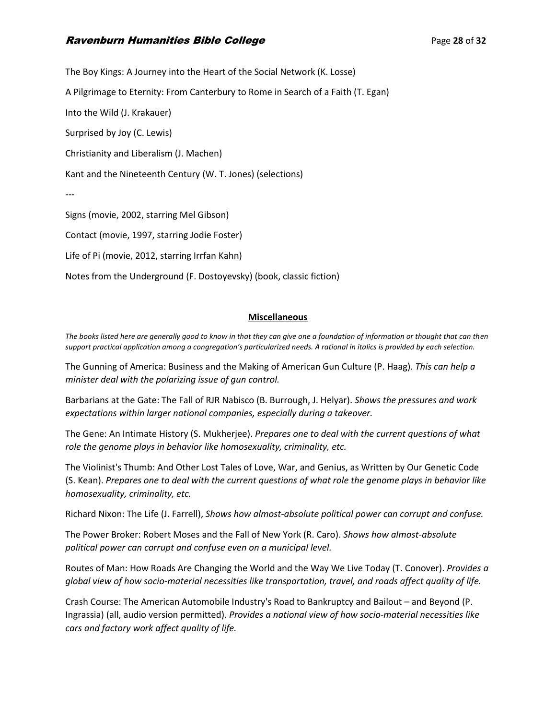# **Ravenburn Humanities Bible College** Particular Collection **Page 28 of 32 Page 28 of 32**

The Boy Kings: A Journey into the Heart of the Social Network (K. Losse) A Pilgrimage to Eternity: From Canterbury to Rome in Search of a Faith (T. Egan) Into the Wild (J. Krakauer) Surprised by Joy (C. Lewis) Christianity and Liberalism (J. Machen) Kant and the Nineteenth Century (W. T. Jones) (selections) --- Signs (movie, 2002, starring Mel Gibson) Contact (movie, 1997, starring Jodie Foster) Life of Pi (movie, 2012, starring Irrfan Kahn)

Notes from the Underground (F. Dostoyevsky) (book, classic fiction)

# **Miscellaneous**

*The books listed here are generally good to know in that they can give one a foundation of information or thought that can then support practical application among a congregation's particularized needs. A rational in italics is provided by each selection.*

The Gunning of America: Business and the Making of American Gun Culture (P. Haag). *This can help a minister deal with the polarizing issue of gun control.*

Barbarians at the Gate: The Fall of RJR Nabisco (B. Burrough, J. Helyar). *Shows the pressures and work expectations within larger national companies, especially during a takeover.*

The Gene: An Intimate History (S. Mukherjee). *Prepares one to deal with the current questions of what role the genome plays in behavior like homosexuality, criminality, etc.*

The Violinist's Thumb: And Other Lost Tales of Love, War, and Genius, as Written by Our Genetic Code (S. Kean). *Prepares one to deal with the current questions of what role the genome plays in behavior like homosexuality, criminality, etc.*

Richard Nixon: The Life (J. Farrell), *Shows how almost-absolute political power can corrupt and confuse.*

The Power Broker: Robert Moses and the Fall of New York (R. Caro). *Shows how almost-absolute political power can corrupt and confuse even on a municipal level.*

Routes of Man: How Roads Are Changing the World and the Way We Live Today (T. Conover). *Provides a global view of how socio-material necessities like transportation, travel, and roads affect quality of life.*

Crash Course: The American Automobile Industry's Road to Bankruptcy and Bailout – and Beyond (P. Ingrassia) (all, audio version permitted). *Provides a national view of how socio-material necessities like cars and factory work affect quality of life.*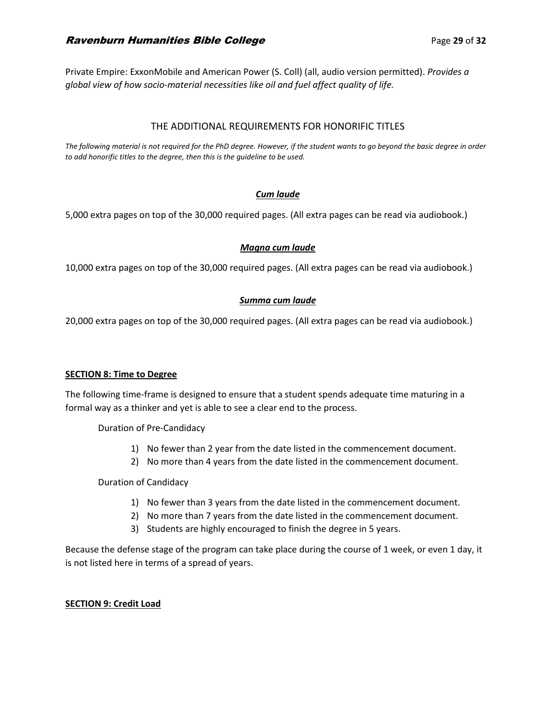# **Ravenburn Humanities Bible College Page 29 of 32 Page 29 of 32**

Private Empire: ExxonMobile and American Power (S. Coll) (all, audio version permitted). *Provides a global view of how socio-material necessities like oil and fuel affect quality of life.*

## THE ADDITIONAL REQUIREMENTS FOR HONORIFIC TITLES

*The following material is not required for the PhD degree. However, if the student wants to go beyond the basic degree in order to add honorific titles to the degree, then this is the guideline to be used.*

## *Cum laude*

5,000 extra pages on top of the 30,000 required pages. (All extra pages can be read via audiobook.)

## *Magna cum laude*

10,000 extra pages on top of the 30,000 required pages. (All extra pages can be read via audiobook.)

## *Summa cum laude*

20,000 extra pages on top of the 30,000 required pages. (All extra pages can be read via audiobook.)

## **SECTION 8: Time to Degree**

The following time-frame is designed to ensure that a student spends adequate time maturing in a formal way as a thinker and yet is able to see a clear end to the process.

Duration of Pre-Candidacy

- 1) No fewer than 2 year from the date listed in the commencement document.
- 2) No more than 4 years from the date listed in the commencement document.

## Duration of Candidacy

- 1) No fewer than 3 years from the date listed in the commencement document.
- 2) No more than 7 years from the date listed in the commencement document.
- 3) Students are highly encouraged to finish the degree in 5 years.

Because the defense stage of the program can take place during the course of 1 week, or even 1 day, it is not listed here in terms of a spread of years.

## **SECTION 9: Credit Load**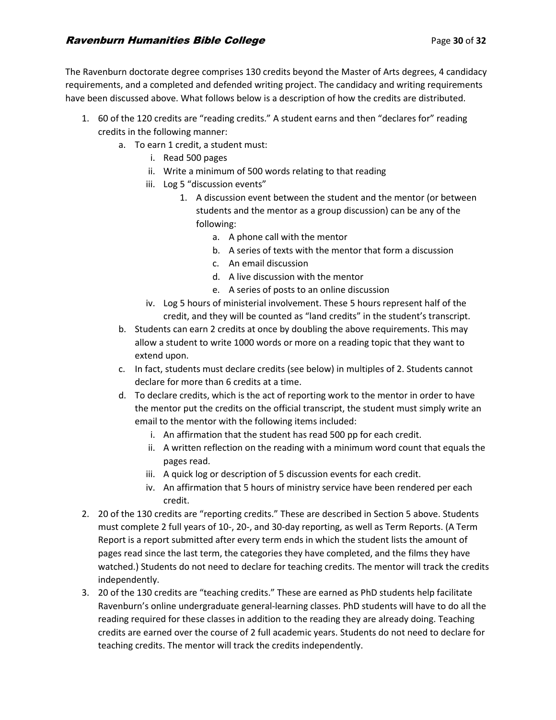The Ravenburn doctorate degree comprises 130 credits beyond the Master of Arts degrees, 4 candidacy requirements, and a completed and defended writing project. The candidacy and writing requirements have been discussed above. What follows below is a description of how the credits are distributed.

- 1. 60 of the 120 credits are "reading credits." A student earns and then "declares for" reading credits in the following manner:
	- a. To earn 1 credit, a student must:
		- i. Read 500 pages
		- ii. Write a minimum of 500 words relating to that reading
		- iii. Log 5 "discussion events"
			- 1. A discussion event between the student and the mentor (or between students and the mentor as a group discussion) can be any of the following:
				- a. A phone call with the mentor
				- b. A series of texts with the mentor that form a discussion
				- c. An email discussion
				- d. A live discussion with the mentor
				- e. A series of posts to an online discussion
		- iv. Log 5 hours of ministerial involvement. These 5 hours represent half of the credit, and they will be counted as "land credits" in the student's transcript.
	- b. Students can earn 2 credits at once by doubling the above requirements. This may allow a student to write 1000 words or more on a reading topic that they want to extend upon.
	- c. In fact, students must declare credits (see below) in multiples of 2. Students cannot declare for more than 6 credits at a time.
	- d. To declare credits, which is the act of reporting work to the mentor in order to have the mentor put the credits on the official transcript, the student must simply write an email to the mentor with the following items included:
		- i. An affirmation that the student has read 500 pp for each credit.
		- ii. A written reflection on the reading with a minimum word count that equals the pages read.
		- iii. A quick log or description of 5 discussion events for each credit.
		- iv. An affirmation that 5 hours of ministry service have been rendered per each credit.
- 2. 20 of the 130 credits are "reporting credits." These are described in Section 5 above. Students must complete 2 full years of 10-, 20-, and 30-day reporting, as well as Term Reports. (A Term Report is a report submitted after every term ends in which the student lists the amount of pages read since the last term, the categories they have completed, and the films they have watched.) Students do not need to declare for teaching credits. The mentor will track the credits independently.
- 3. 20 of the 130 credits are "teaching credits." These are earned as PhD students help facilitate Ravenburn's online undergraduate general-learning classes. PhD students will have to do all the reading required for these classes in addition to the reading they are already doing. Teaching credits are earned over the course of 2 full academic years. Students do not need to declare for teaching credits. The mentor will track the credits independently.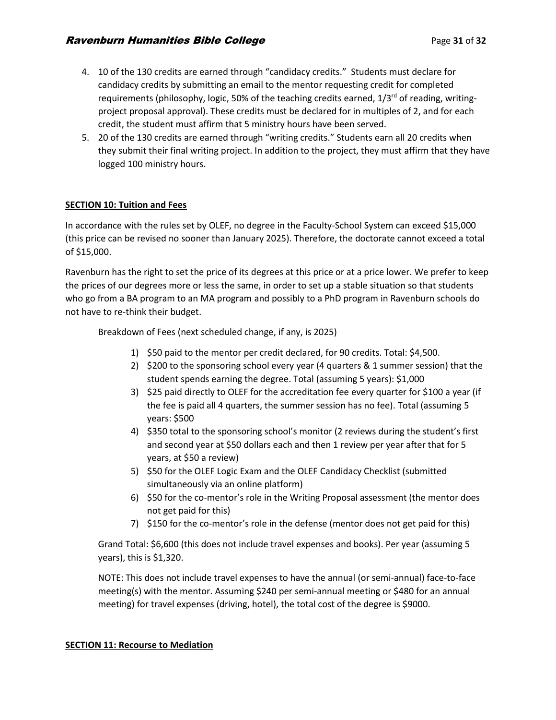- 4. 10 of the 130 credits are earned through "candidacy credits." Students must declare for candidacy credits by submitting an email to the mentor requesting credit for completed requirements (philosophy, logic, 50% of the teaching credits earned,  $1/3^{rd}$  of reading, writingproject proposal approval). These credits must be declared for in multiples of 2, and for each credit, the student must affirm that 5 ministry hours have been served.
- 5. 20 of the 130 credits are earned through "writing credits." Students earn all 20 credits when they submit their final writing project. In addition to the project, they must affirm that they have logged 100 ministry hours.

# **SECTION 10: Tuition and Fees**

In accordance with the rules set by OLEF, no degree in the Faculty-School System can exceed \$15,000 (this price can be revised no sooner than January 2025). Therefore, the doctorate cannot exceed a total of \$15,000.

Ravenburn has the right to set the price of its degrees at this price or at a price lower. We prefer to keep the prices of our degrees more or less the same, in order to set up a stable situation so that students who go from a BA program to an MA program and possibly to a PhD program in Ravenburn schools do not have to re-think their budget.

Breakdown of Fees (next scheduled change, if any, is 2025)

- 1) \$50 paid to the mentor per credit declared, for 90 credits. Total: \$4,500.
- 2) \$200 to the sponsoring school every year (4 quarters & 1 summer session) that the student spends earning the degree. Total (assuming 5 years): \$1,000
- 3) \$25 paid directly to OLEF for the accreditation fee every quarter for \$100 a year (if the fee is paid all 4 quarters, the summer session has no fee). Total (assuming 5 years: \$500
- 4) \$350 total to the sponsoring school's monitor (2 reviews during the student's first and second year at \$50 dollars each and then 1 review per year after that for 5 years, at \$50 a review)
- 5) \$50 for the OLEF Logic Exam and the OLEF Candidacy Checklist (submitted simultaneously via an online platform)
- 6) \$50 for the co-mentor's role in the Writing Proposal assessment (the mentor does not get paid for this)
- 7) \$150 for the co-mentor's role in the defense (mentor does not get paid for this)

Grand Total: \$6,600 (this does not include travel expenses and books). Per year (assuming 5 years), this is \$1,320.

NOTE: This does not include travel expenses to have the annual (or semi-annual) face-to-face meeting(s) with the mentor. Assuming \$240 per semi-annual meeting or \$480 for an annual meeting) for travel expenses (driving, hotel), the total cost of the degree is \$9000.

## **SECTION 11: Recourse to Mediation**